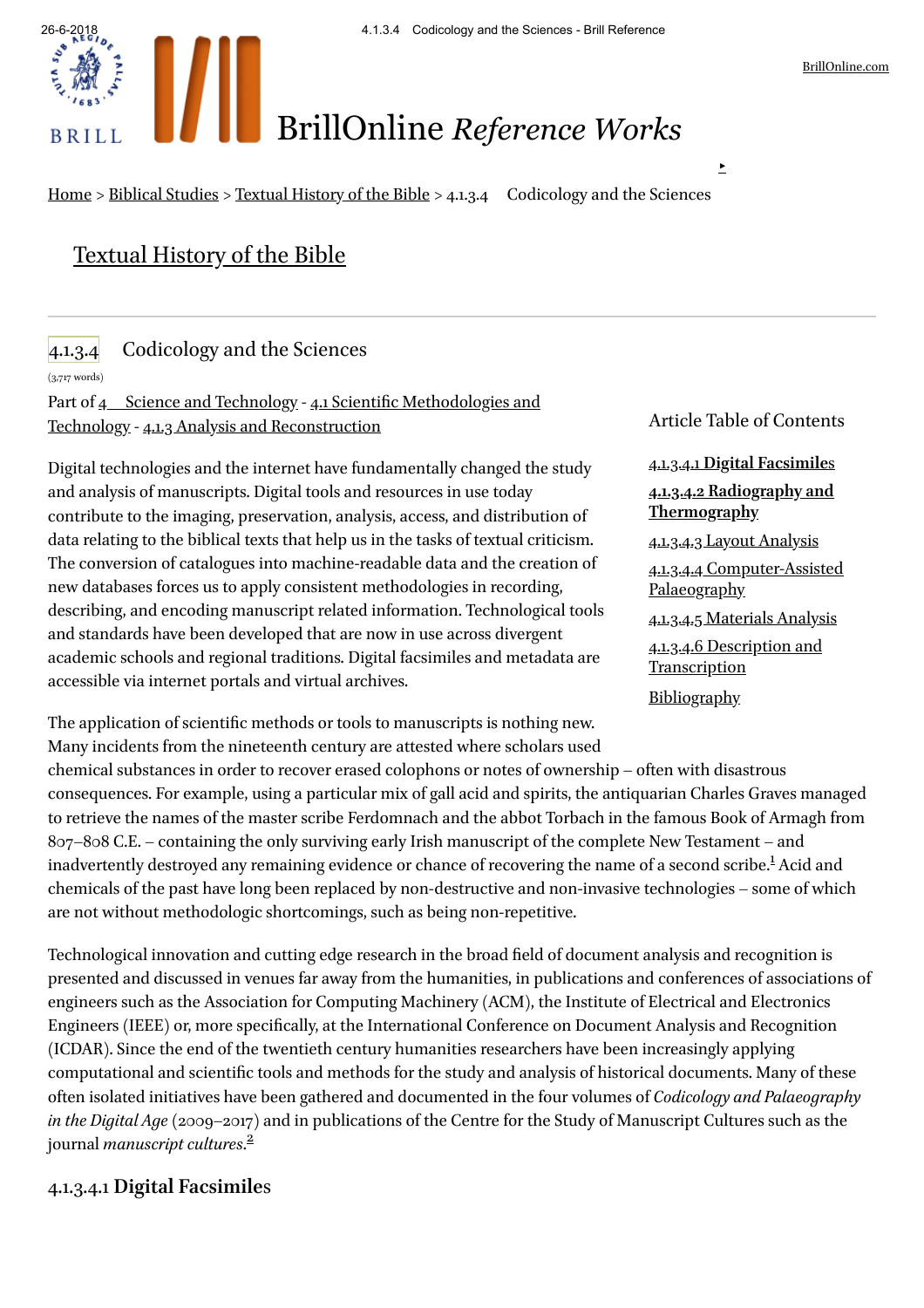

# BrillOnline *Reference Works*

[Home](http://referenceworks.brillonline.com/) > [Biblical](http://referenceworks.brillonline.com/subjects/Biblical%20Studies) Studies > [Textual](http://referenceworks.brillonline.com/browse/textual-history-of-the-bible) History of the Bible > 4.1.3.4 Codicology and the Sciences

# [Textual](http://referenceworks.brillonline.com/browse/textual-history-of-the-bible) History of the Bible

## 4.1.3.4 Codicology and the Sciences

(3,717 words)

Part of 4 Science and [Technology](http://referenceworks.brillonline.com/entries/textual-history-of-the-bible/4-science-and-technology-COM_228762#) - 4.1 Scientific Methodologies and Technology - 4.1.3 Analysis and [Reconstruction](http://referenceworks.brillonline.com/entries/textual-history-of-the-bible/41-scientific-methodologies-and-technology-COM_225861#)

Digital technologies and the internet have fundamentally changed the study and analysis of manuscripts. Digital tools and resources in use today contribute to the imaging, preservation, analysis, access, and distribution of data relating to the biblical texts that help us in the tasks of textual criticism. The conversion of catalogues into machine-readable data and the creation of new databases forces us to apply consistent methodologies in recording, describing, and encoding manuscript related information. Technological tools and standards have been developed that are now in use across divergent academic schools and regional traditions. Digital facsimiles and metadata are accessible via internet portals and virtual archives.

Article Table of Contents

<span id="page-0-1"></span>4.1.3.4.1 **Digital [Facsimile](#page-0-0)**s **4.1.3.4.2 Radiography and [Thermography](#page-1-0)** 4.1.3.4.3 Layout [Analysis](#page-1-1) 4.1.3.4.4 [Computer-Assisted](#page-2-0) Palaeography 4.1.3.4.5 [Materials](#page-2-1) Analysis 4.1.3.4.6 Description and **[Transcription](#page-2-2) [Bibliography](#page-3-0)** 

The application of scientific methods or tools to manuscripts is nothing new. Many incidents from the nineteenth century are attested where scholars used

chemical substances in order to recover erased colophons or notes of ownership – often with disastrous consequences. For example, using a particular mix of gall acid and spirits, the antiquarian Charles Graves managed to retrieve the names of the master scribe Ferdomnach and the abbot Torbach in the famous Book of Armagh from 807–808 C.E. – containing the only surviving early Irish manuscript of the complete New Testament – and inadvertently destroyed any remaining evidence or chance of recovering the name of a second scribe.<sup>[1](#page-6-0)</sup> Acid and chemicals of the past have long been replaced by non-destructive and non-invasive technologies – some of which are not without methodologic shortcomings, such as being non-repetitive.

Technological innovation and cutting edge research in the broad field of document analysis and recognition is presented and discussed in venues far away from the humanities, in publications and conferences of associations of engineers such as the Association for Computing Machinery (ACM), the Institute of Electrical and Electronics Engineers (IEEE) or, more specifically, at the International Conference on Document Analysis and Recognition (ICDAR). Since the end of the twentieth century humanities researchers have been increasingly applying computational and scientific tools and methods for the study and analysis of historical documents. Many of these often isolated initiatives have been gathered and documented in the four volumes of *Codicology and Palaeography in the Digital Age*(2009–2017) and in publications of the Centre for the Study of Manuscript Cultures such as the journal *manuscript cultures.*<sup>[2](#page-6-1)</sup>

#### <span id="page-0-2"></span><span id="page-0-0"></span>4.1.3.4.1 **Digital Facsimile**s

▶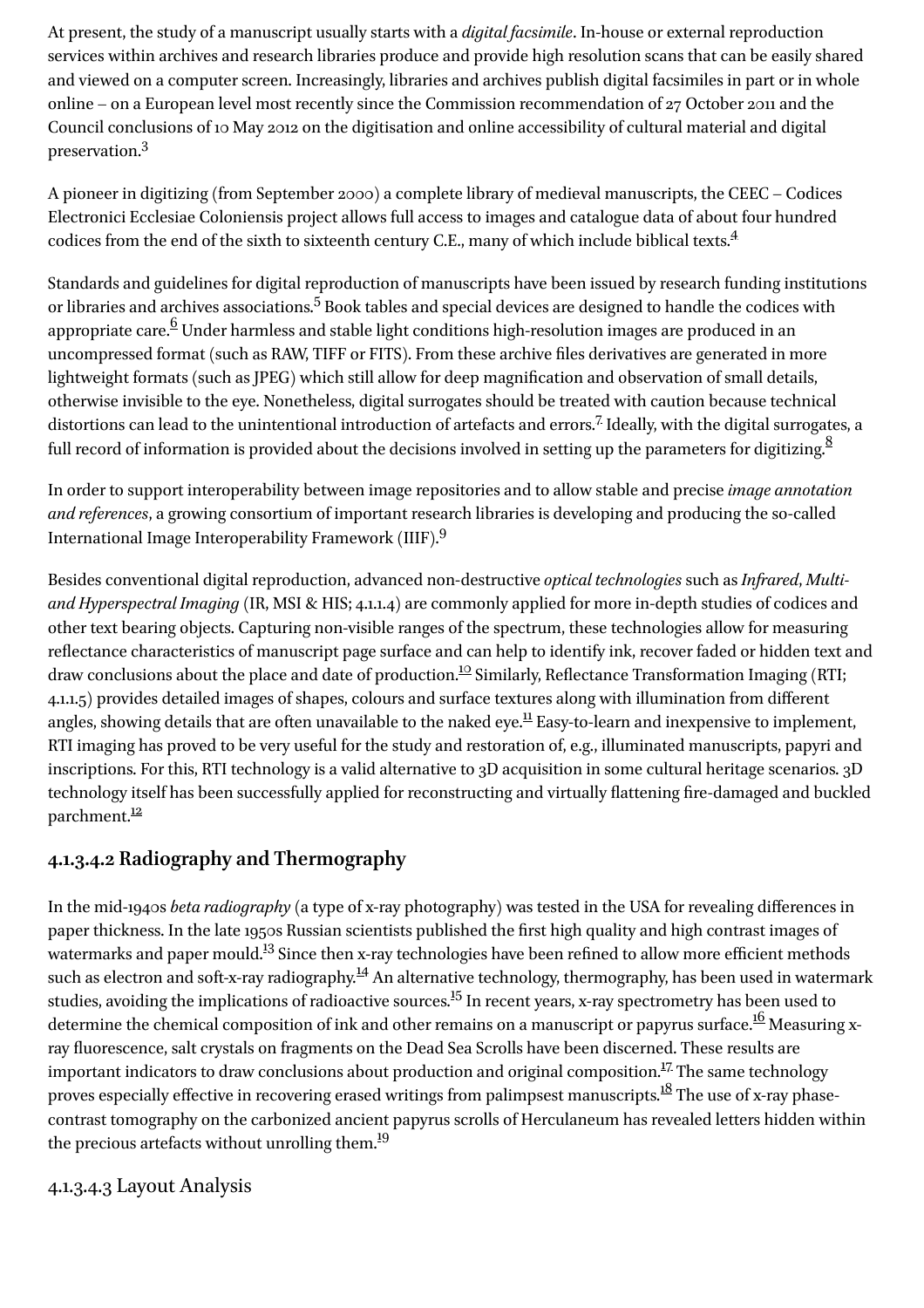At present, the study of a manuscript usually starts with a *digital facsimile*. In-house or external reproduction services within archives and research libraries produce and provide high resolution scans that can be easily shared and viewed on a computer screen. Increasingly, libraries and archives publish digital facsimiles in part or in whole online – on a European level most recently since the Commission recommendation of 27 October 2011 and the Council conclusions of 10 May 2012 on the digitisation and online accessibility of cultural material and digital preservation. [3](#page-6-2)

<span id="page-1-3"></span><span id="page-1-2"></span>A pioneer in digitizing (from September 2000) a complete library of medieval manuscripts, the CEEC – Codices Electronici Ecclesiae Coloniensis project allows full access to images and catalogue data of about four hundred codices from the end of the sixth to sixteenth century C.E., many of which include biblical texts. [4](#page-6-3)

<span id="page-1-5"></span><span id="page-1-4"></span>Standards and guidelines for digital reproduction of manuscripts have been issued by research funding institutions or libraries and archives associations.<sup>[5](#page-6-4)</sup> Book tables and special devices are designed to handle the codices with appropriate care. $^6$  $^6$  Under harmless and stable light conditions high-resolution images are produced in an uncompressed format (such as RAW, TIFF or FITS). From these archive files derivatives are generated in more lightweight formats (such as JPEG) which still allow for deep magnication and observation of small details, otherwise invisible to the eye. Nonetheless, digital surrogates should be treated with caution because technical distortions can lead to the unintentional introduction of artefacts and errors.<sup>[7](#page-6-6)</sup> Ideally, with the digital surrogates, a full record of information is provided about the decisions involved in setting up the parameters for digitizing.<sup>[8](#page-6-7)</sup>

<span id="page-1-8"></span><span id="page-1-7"></span><span id="page-1-6"></span>In order to support interoperability between image repositories and to allow stable and precise *image annotation and references*, a growing consortium of important research libraries is developing and producing the so-called International Image Interoperability Framework (IIIF). [9](#page-6-8)

<span id="page-1-10"></span><span id="page-1-9"></span>Besides conventional digital reproduction, advanced non-destructive *optical technologies* such as *Infrared*, *Multiand Hyperspectral Imaging* (IR, MSI & HIS; 4.1.1.4) are commonly applied for more in-depth studies of codices and other text bearing objects. Capturing non-visible ranges of the spectrum, these technologies allow for measuring reflectance characteristics of manuscript page surface and can help to identify ink, recover faded or hidden text and draw conclusions about the place and date of production.<sup>[10](#page-6-9)</sup> Similarly, Reflectance Transformation Imaging (RTI; 4.1.1.5) provides detailed images of shapes, colours and surface textures along with illumination from diferent angles, showing details that are often unavailable to the naked eye.<sup>[11](#page-6-10)</sup> Easy-to-learn and inexpensive to implement, RTI imaging has proved to be very useful for the study and restoration of, e.g., illuminated manuscripts, papyri and inscriptions. For this, RTI technology is a valid alternative to 3D acquisition in some cultural heritage scenarios. 3D technology itself has been successfully applied for reconstructing and virtually flattening fire-damaged and buckled parchment.<sup>[12](#page-7-0)</sup>

## <span id="page-1-11"></span><span id="page-1-0"></span>**4.1.3.4.2 Radiography and Thermography**

<span id="page-1-15"></span><span id="page-1-14"></span><span id="page-1-13"></span><span id="page-1-12"></span>In the mid-1940s *beta radiography* (a type of x-ray photography) was tested in the USA for revealing diferences in paper thickness. In the late 1950s Russian scientists published the first high quality and high contrast images of watermarks and paper mould.<sup>[13](#page-7-1)</sup> Since then x-ray technologies have been refined to allow more efficient methods such as electron and soft-x-ray radiography.<sup>[14](#page-7-2)</sup> An alternative technology, thermography, has been used in watermark studies, avoiding the implications of radioactive sources.<sup>[15](#page-7-3)</sup> In recent years, x-ray spectrometry has been used to determine the chemical composition of ink and other remains on a manuscript or papyrus surface.<sup>[16](#page-7-4)</sup> Measuring xray fluorescence, salt crystals on fragments on the Dead Sea Scrolls have been discerned. These results are important indicators to draw conclusions about production and original composition.<sup>[17](#page-7-5)</sup> The same technology proves especially effective in recovering erased writings from palimpsest manuscripts. $^{18}$  $^{18}$  $^{18}$  The use of x-ray phasecontrast tomography on the carbonized ancient papyrus scrolls of Herculaneum has revealed letters hidden within the precious artefacts without unrolling them.<sup>[19](#page-7-7)</sup>

#### <span id="page-1-18"></span><span id="page-1-17"></span><span id="page-1-16"></span><span id="page-1-1"></span>4.1.3.4.3 Layout Analysis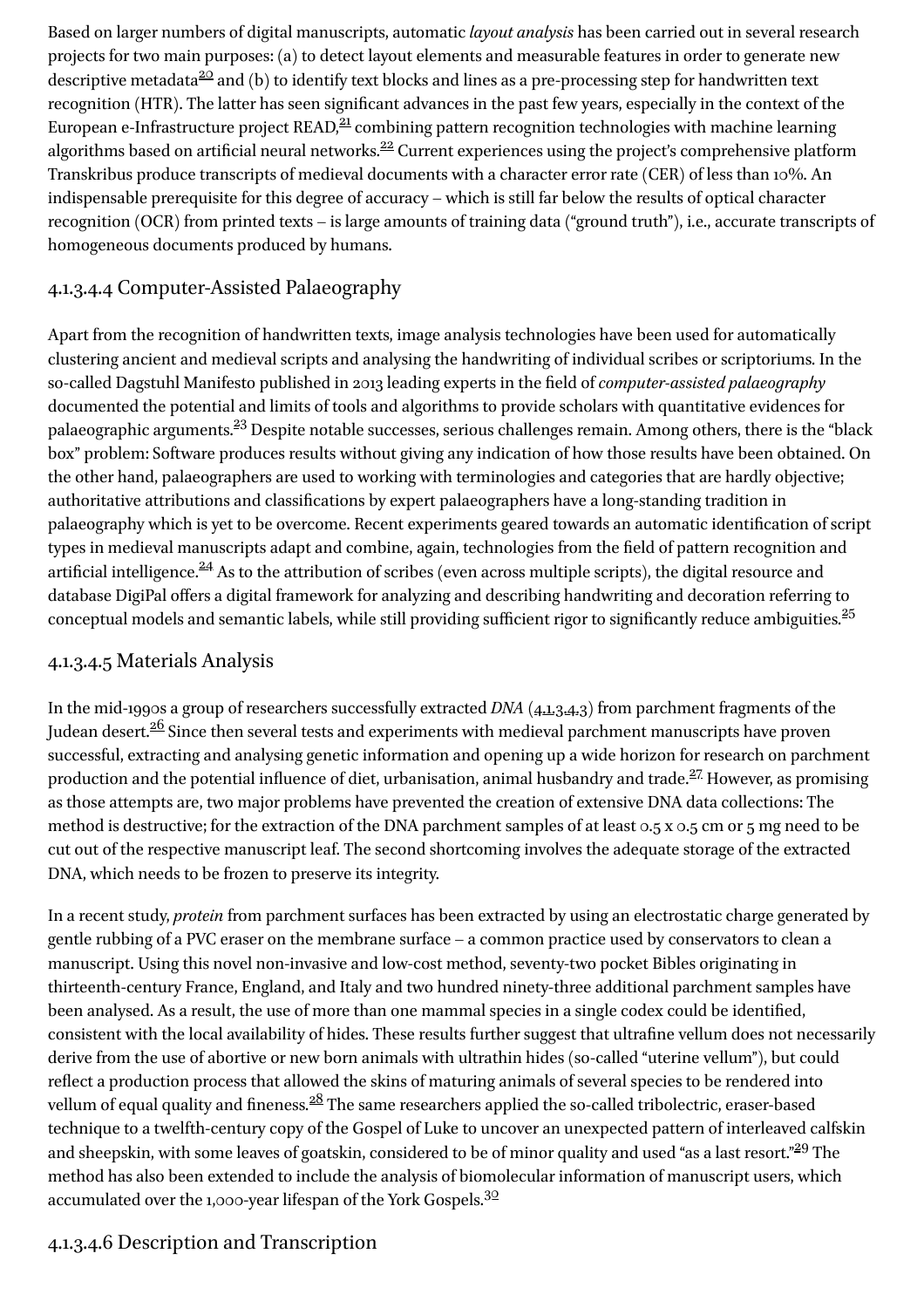<span id="page-2-5"></span><span id="page-2-4"></span><span id="page-2-3"></span>Based on larger numbers of digital manuscripts, automatic *layout analysis* has been carried out in several research projects for two main purposes: (a) to detect layout elements and measurable features in order to generate new descriptive metadata $\frac{20}{2}$  $\frac{20}{2}$  $\frac{20}{2}$  and (b) to identify text blocks and lines as a pre-processing step for handwritten text recognition (HTR). The latter has seen significant advances in the past few years, especially in the context of the European e-Infrastructure project READ,<sup>[21](#page-7-9)</sup> combining pattern recognition technologies with machine learning algorithms based on artificial neural networks.<sup>[22](#page-7-10)</sup> Current experiences using the project's comprehensive platform Transkribus produce transcripts of medieval documents with a character error rate (CER) of less than 10%. An indispensable prerequisite for this degree of accuracy – which is still far below the results of optical character recognition (OCR) from printed texts – is large amounts of training data ("ground truth"), i.e., accurate transcripts of homogeneous documents produced by humans.

#### <span id="page-2-0"></span>4.1.3.4.4 Computer-Assisted Palaeography

<span id="page-2-6"></span>Apart from the recognition of handwritten texts, image analysis technologies have been used for automatically clustering ancient and medieval scripts and analysing the handwriting of individual scribes or scriptoriums. In the so-called Dagstuhl Manifesto published in 2013 leading experts in the eld of*computer-assisted palaeography* documented the potential and limits of tools and algorithms to provide scholars with quantitative evidences for palaeographic arguments.<sup>[23](#page-7-11)</sup> Despite notable successes, serious challenges remain. Among others, there is the "black box" problem: Software produces results without giving any indication of how those results have been obtained. On the other hand, palaeographers are used to working with terminologies and categories that are hardly objective; authoritative attributions and classifications by expert palaeographers have a long-standing tradition in palaeography which is yet to be overcome. Recent experiments geared towards an automatic identification of script types in medieval manuscripts adapt and combine, again, technologies from the field of pattern recognition and artificial intelligence.<sup>[24](#page-7-12)</sup> As to the attribution of scribes (even across multiple scripts), the digital resource and database DigiPal offers a digital framework for analyzing and describing handwriting and decoration referring to  $\overline{\rm{conceptual}}$  models and semantic labels, while still providing sufficient rigor to significantly reduce ambiguities.<sup>[25](#page-7-13)</sup>

#### <span id="page-2-8"></span><span id="page-2-7"></span><span id="page-2-1"></span>4.1.3.4.5 Materials Analysis

<span id="page-2-10"></span><span id="page-2-9"></span>In the mid-1990s a group of researchers successfully extracted *DNA* [\(4.1.3.4.3\)](http://referenceworks.brillonline.com/entries/textual-history-of-the-bible/4134-codicology-and-the-sciences-COM_225907#4.1.3.4.3) from parchment fragments of the Judean desert. $\frac{26}{5}$  $\frac{26}{5}$  $\frac{26}{5}$  Since then several tests and experiments with medieval parchment manuscripts have proven successful, extracting and analysing genetic information and opening up a wide horizon for research on parchment production and the potential influence of diet, urbanisation, animal husbandry and trade.<sup>[27](#page-7-15)</sup> However, as promising as those attempts are, two major problems have prevented the creation of extensive DNA data collections: The method is destructive; for the extraction of the DNA parchment samples of at least 0.5 x 0.5 cm or 5 mg need to be cut out of the respective manuscript leaf. The second shortcoming involves the adequate storage of the extracted DNA, which needs to be frozen to preserve its integrity.

In a recent study, *protein* from parchment surfaces has been extracted by using an electrostatic charge generated by gentle rubbing of a PVC eraser on the membrane surface – a common practice used by conservators to clean a manuscript. Using this novel non-invasive and low-cost method, seventy-two pocket Bibles originating in thirteenth-century France, England, and Italy and two hundred ninety-three additional parchment samples have been analysed. As a result, the use of more than one mammal species in a single codex could be identified, consistent with the local availability of hides. These results further suggest that ultrafine vellum does not necessarily derive from the use of abortive or new born animals with ultrathin hides (so-called "uterine vellum"), but could reflect a production process that allowed the skins of maturing animals of several species to be rendered into vellum of equal quality and fineness.<sup>[28](#page-7-16)</sup> The same researchers applied the so-called tribolectric, eraser-based technique to a twelfth-century copy of the Gospel of Luke to uncover an unexpected pattern of interleaved calfskin and sheepskin, with some leaves of goatskin, considered to be of minor quality and used "as a last resort."<sup>[29](#page-7-17)</sup> The method has also been extended to include the analysis of biomolecular information of manuscript users, which accumulated over the 1,000-year lifespan of the York Gospels. $^{30}$  $^{30}$  $^{30}$ 

## <span id="page-2-13"></span><span id="page-2-12"></span><span id="page-2-11"></span><span id="page-2-2"></span>4.1.3.4.6 Description and Transcription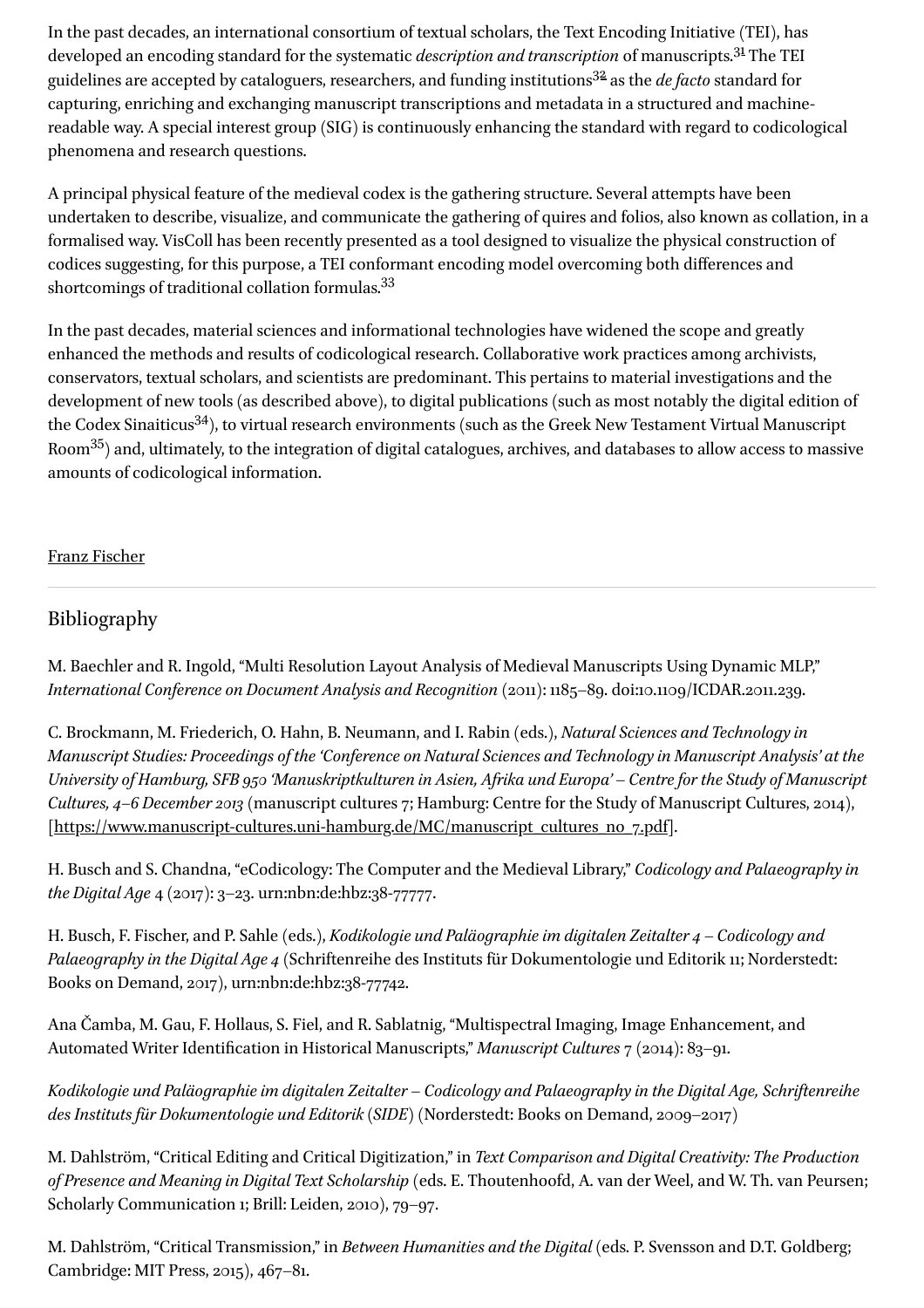<span id="page-3-2"></span><span id="page-3-1"></span>In the past decades, an international consortium of textual scholars, the Text Encoding Initiative (TEI), has developed an encoding standard for the systematic *description and transcription* of manuscripts.<sup>[31](#page-7-19)</sup> The TEI guidelines are accepted by cataloguers, researchers, and funding institutions<sup>[32](#page-7-20)</sup> as the *de facto* standard for capturing, enriching and exchanging manuscript transcriptions and metadata in a structured and machinereadable way. A special interest group (SIG) is continuously enhancing the standard with regard to codicological phenomena and research questions.

A principal physical feature of the medieval codex is the gathering structure. Several attempts have been undertaken to describe, visualize, and communicate the gathering of quires and folios, also known as collation, in a formalised way. VisColl has been recently presented as a tool designed to visualize the physical construction of codices suggesting, for this purpose, a TEI conformant encoding model overcoming both diferences and shortcomings of traditional collation formulas.<sup>[33](#page-7-21)</sup>

<span id="page-3-5"></span><span id="page-3-4"></span><span id="page-3-3"></span>In the past decades, material sciences and informational technologies have widened the scope and greatly enhanced the methods and results of codicological research. Collaborative work practices among archivists, conservators, textual scholars, and scientists are predominant. This pertains to material investigations and the development of new tools (as described above), to digital publications (such as most notably the digital edition of the Codex Sinaiticus<sup>[34](#page-7-22)</sup>), to virtual research environments (such as the Greek New Testament Virtual Manuscript Room $^{35})$  $^{35})$  $^{35})$  and, ultimately, to the integration of digital catalogues, archives, and databases to allow access to massive amounts of codicological information.

#### Franz [Fischer](http://referenceworks.brillonline.com/search?s.au=Franz+Fischer)

#### <span id="page-3-0"></span>Bibliography

M. Baechler and R. Ingold, "Multi Resolution Layout Analysis of Medieval Manuscripts Using Dynamic MLP," *International Conference on Document Analysis and Recognition* (2011): 1185–89. doi:10.1109/ICDAR.2011.239.

C. Brockmann, M. Friederich, O. Hahn, B. Neumann, and I. Rabin (eds.), *Natural Sciences and Technology in Manuscript Studies: Proceedings of the 'Conference on Natural Sciences and Technology in Manuscript Analysis' at the University of Hamburg, SFB 950 'Manuskriptkulturen in Asien, Afrika und Europa'* – *Centre for the Study of Manuscript Cultures, 4–6 December 2013* (manuscript cultures 7; Hamburg: Centre for the Study of Manuscript Cultures, 2014), [[https://www.manuscript-cultures.uni-hamburg.de/MC/manuscript\\_cultures\\_no\\_7.pdf\]](https://www.manuscript-cultures.uni-hamburg.de/MC/manuscript_cultures_no_7.pdf).

H. Busch and S. Chandna, "eCodicology: The Computer and the Medieval Library," *Codicology and Palaeography in the Digital Age* 4 (2017): 3–23. urn:nbn:de:hbz:38-77777.

H. Busch, F. Fischer, and P. Sahle (eds.), *Kodikologie und Paläographie im digitalen Zeitalter 4* – *Codicology and Palaeography in the Digital Age 4* (Schriftenreihe des Instituts für Dokumentologie und Editorik 11; Norderstedt: Books on Demand, 2017), urn:nbn:de:hbz:38-77742.

Ana Čamba, M. Gau, F. Hollaus, S. Fiel, and R. Sablatnig, "Multispectral Imaging, Image Enhancement, and Automated Writer Identification in Historical Manuscripts," *Manuscript Cultures* 7 (2014): 83-91.

*Kodikologie und Paläographie im digitalen Zeitalter* – *Codicology and Palaeography in the Digital Age, Schriftenreihe des Instituts für Dokumentologie und Editorik (SIDE)* (Norderstedt: Books on Demand, 2009–2017)

M. Dahlström, "Critical Editing and Critical Digitization," in *Text Comparison and Digital Creativity: The Production of Presence and Meaning in Digital Text Scholarship* (eds. E. Thoutenhoofd, A. van der Weel, and W. Th. van Peursen; Scholarly Communication 1; Brill: Leiden, 2010), 79–97.

Cambridge: MIT Press, 2015), 467–81. M. Dahlström, "Critical Transmission," in *Between Humanities and the Digital* (eds. P. Svensson and D.T. Goldberg;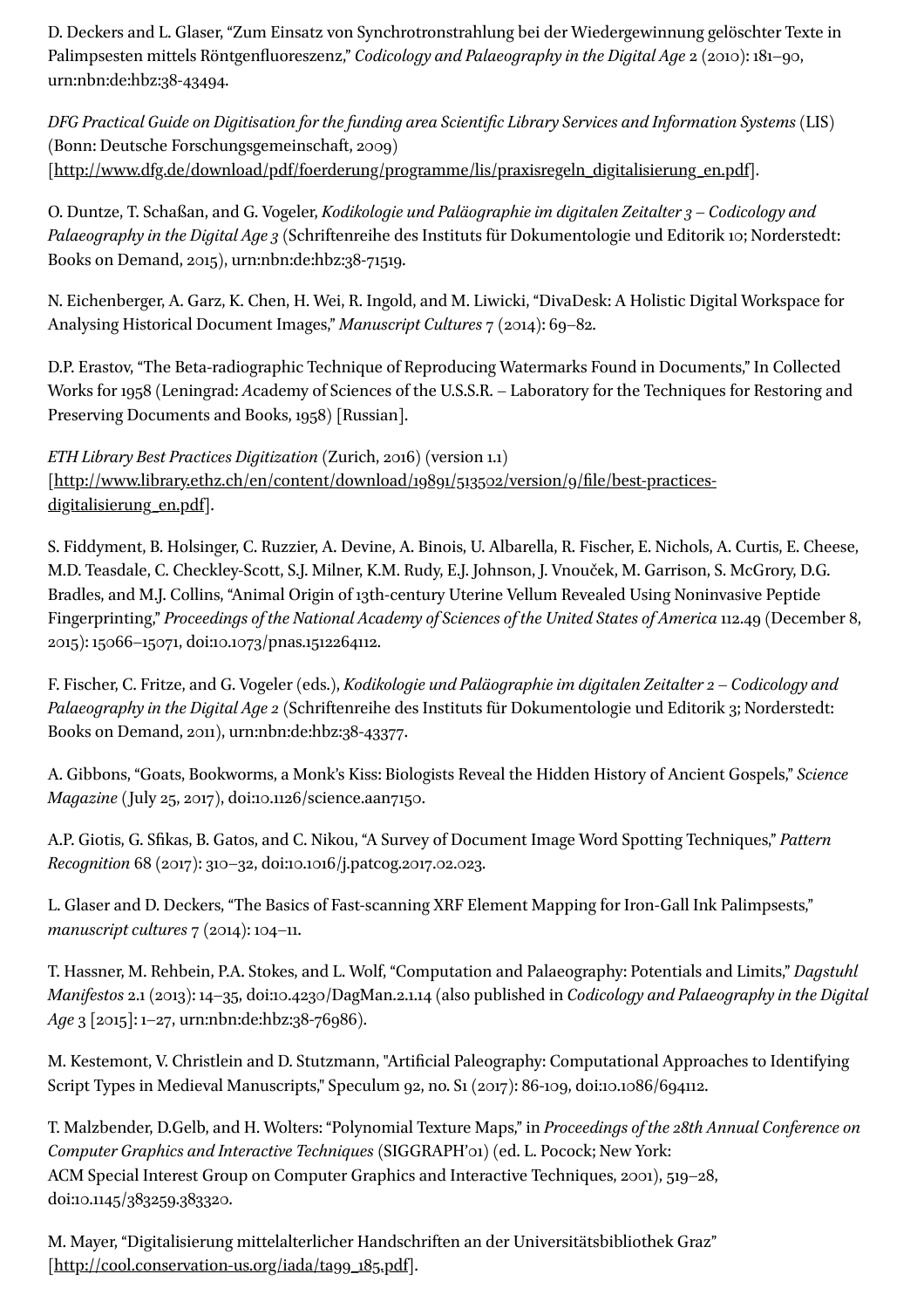D. Deckers and L. Glaser, "Zum Einsatz von Synchrotronstrahlung bei der Wiedergewinnung gelöschter Texte in Palimpsesten mittels Röntgenfluoreszenz," *Codicology and Palaeography in the Digital Age* 2 (2010): 181–90, urn:nbn:de:hbz:38-43494.

*DFG Practical Guide on Digitisation for thefunding area Scientic Library Services and Information Systems* (LIS) (Bonn: Deutsche Forschungsgemeinschaft, 2009) [[http://www.dfg.de/download/pdf/foerderung/programme/lis/praxisregeln\\_digitalisierung\\_en.pdf\]](http://www.dfg.de/download/pdf/foerderung/programme/lis/praxisregeln_digitalisierung_en.pdf).

O. Duntze, T. Schaßan, and G. Vogeler, *Kodikologie und Paläographie im digitalen Zeitalter3* – *Codicology and Palaeography in the Digital Age 3* (Schriftenreihe des Instituts für Dokumentologie und Editorik 10; Norderstedt: Books on Demand, 2015), urn:nbn:de:hbz:38-71519.

N. Eichenberger, A. Garz, K. Chen, H. Wei, R. Ingold, and M. Liwicki, "DivaDesk: A Holistic Digital Workspace for Analysing Historical Document Images," *Manuscript Cultures* 7 (2014): 69–82.

D.P. Erastov, "The Beta-radiographic Technique of Reproducing Watermarks Found in Documents," In Collected Works for 1958 (Leningrad: *A*cademy of Sciences of the U.S.S.R. – Laboratory for the Techniques for Restoring and Preserving Documents and Books, 1958) [Russian].

*ETH Library Best Practices Digitization* (Zurich, 2016) (version 1.1)  $[\text{http://www.library.ethz.ch/en/content/download/19891/513502/version/g/file/best-practices-}$ digitalisierung\_en.pdf].

S. Fiddyment, B. Holsinger, C. Ruzzier, A. Devine, A. Binois, U. Albarella, R. Fischer, E. Nichols, A. Curtis, E. Cheese, M.D. Teasdale, C. Checkley-Scott, S.J. Milner, K.M. Rudy, E.J. Johnson, J. Vnouček, M. Garrison, S. McGrory, D.G. Bradles, and M.J. Collins, "Animal Origin of 13th-century Uterine Vellum Revealed Using Noninvasive Peptide Fingerprinting," *Proceedings of the National Academy of Sciences of the United States of America* 112.49 (December 8, 2015): 15066–15071, doi:10.1073/pnas.1512264112.

F. Fischer, C. Fritze, and G. Vogeler (eds.), *Kodikologie und Paläographie im digitalen Zeitalter 2* – *Codicology and Palaeography in the Digital Age 2* (Schriftenreihe des Instituts für Dokumentologie und Editorik 3; Norderstedt: Books on Demand, 2011), urn:nbn:de:hbz:38-43377.

A. Gibbons, "Goats, Bookworms, a Monk's Kiss: Biologists Reveal the Hidden History of Ancient Gospels," *Science Magazine*(July 25, 2017), doi:10.1126/science.aan7150.

A.P. Giotis, G. Skas, B. Gatos, and C. Nikou, "A Survey of Document Image Word Spotting Techniques," *Pattern Recognition* 68 (2017): 310–32, doi:10.1016/j.patcog.2017.02.023.

L. Glaser and D. Deckers, "The Basics of Fast-scanning XRF Element Mapping for Iron-Gall Ink Palimpsests," *manuscript cultures*  $7$  (2014): 104–11.

T. Hassner, M. Rehbein, P.A. Stokes, and L. Wolf, "Computation and Palaeography: Potentials and Limits," *Dagstuhl Manifestos* 2.1 (2013): 14–35, doi:10.4230/DagMan.2.1.14 (also published in *Codicology and Palaeography in the Digital Age* 3 [2015]: 1–27, urn:nbn:de:hbz:38-76986).

M. Kestemont, V. Christlein and D. Stutzmann, "Artificial Paleography: Computational Approaches to Identifying Script Types in Medieval Manuscripts," Speculum 92, no. S1 (2017): 86-109, doi:10.1086/694112.

T. Malzbender, D.Gelb, and H. Wolters: "Polynomial Texture Maps," in *Proceedings of the 28th Annual Conference on Computer Graphics and Interactive Techniques* (SIGGRAPH'01) (ed. L. Pocock; New York: ACM Special Interest Group on Computer Graphics and Interactive Techniques, 2001), 519–28, doi:10.1145/383259.383320.

 $h = \frac{1}{\sqrt{1-\frac{1}{\sqrt{1-\frac{1}{\sqrt{1-\frac{1}{\sqrt{1-\frac{1}{\sqrt{1-\frac{1}{\sqrt{1-\frac{1}{\sqrt{1-\frac{1}{\sqrt{1-\frac{1}{\sqrt{1-\frac{1}{\sqrt{1-\frac{1}{\sqrt{1-\frac{1}{\sqrt{1-\frac{1}{\sqrt{1-\frac{1}{\sqrt{1-\frac{1}{\sqrt{1-\frac{1}{\sqrt{1-\frac{1}{\sqrt{1-\frac{1}{\sqrt{1-\frac{1}{\sqrt{1-\frac{1}{\sqrt{1-\frac{1}{\sqrt{1-\frac{1}{\sqrt{1-\frac{1}{\sqrt{1-\frac{1}{\sqrt{1-\frac$ M. Mayer, "Digitalisierung mittelalterlicher Handschriften an der Universitätsbibliothek Graz" [[http://cool.conservation-us.org/iada/ta99\\_185.pdf](http://cool.conservation-us.org/iada/ta99_185.pdf)].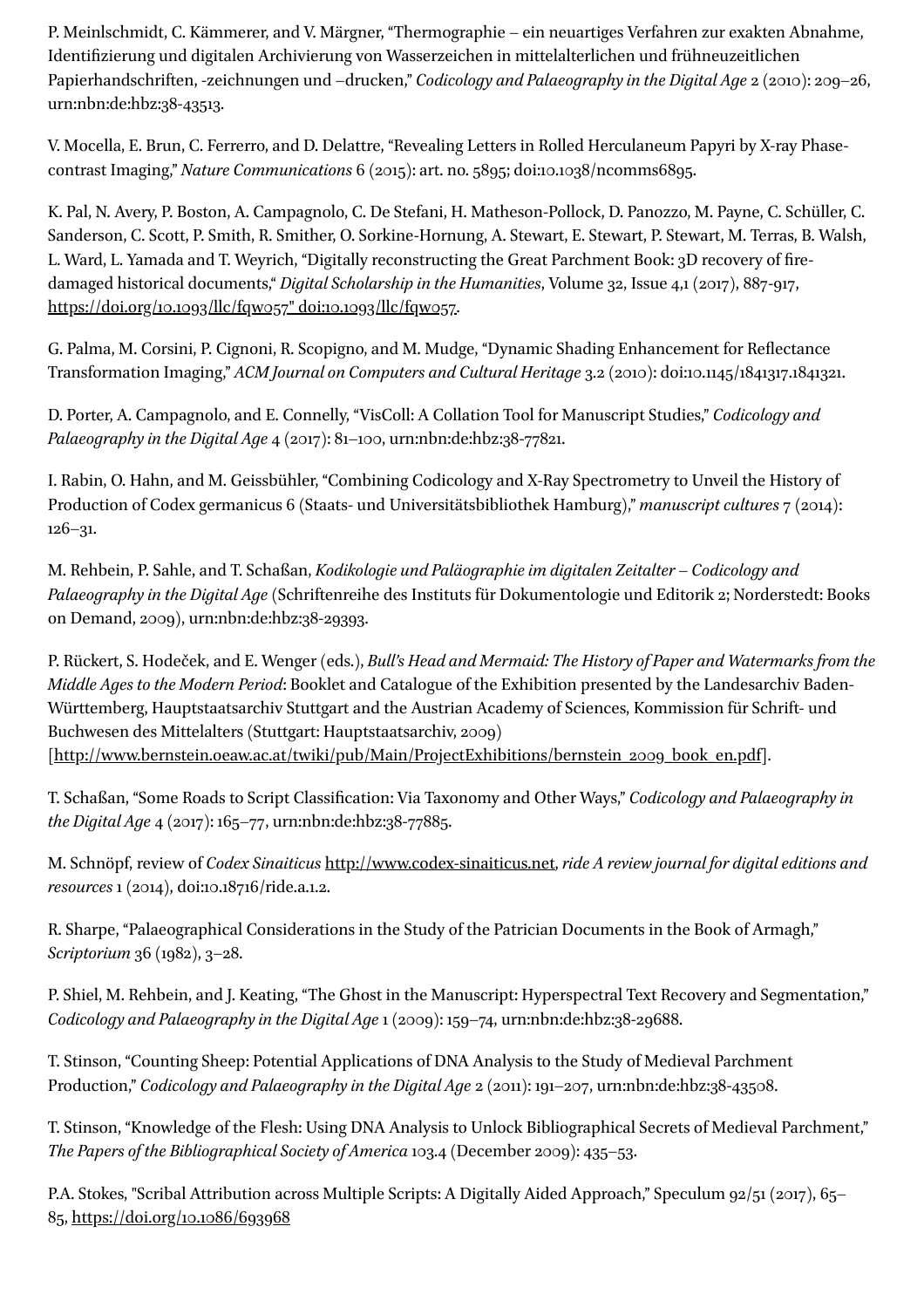P. Meinlschmidt, C. Kämmerer, and V. Märgner, "Thermographie – ein neuartiges Verfahren zur exakten Abnahme, Identizierung und digitalen Archivierung von Wasserzeichen in mittelalterlichen und frühneuzeitlichen Papierhandschriften, -zeichnungen und –drucken," *Codicology and Palaeography in the Digital Age* 2 (2010): 209–26, urn:nbn:de:hbz:38-43513.

V. Mocella, E. Brun, C. Ferrerro, and D. Delattre, "Revealing Letters in Rolled Herculaneum Papyri by X-ray Phasecontrast Imaging," *Nature Communications* 6 (2015): art. no. 5895; doi:10.1038/ncomms6895.

K. Pal, N. Avery, P. Boston, A. Campagnolo, C. De Stefani, H. Matheson-Pollock, D. Panozzo, M. Payne, C. Schüller, C. Sanderson, C. Scott, P. Smith, R. Smither, O. Sorkine-Hornung, A. Stewart, E. Stewart, P. Stewart, M. Terras, B. Walsh, L. Ward, L. Yamada and T. Weyrich, "Digitally reconstructing the Great Parchment Book: 3D recovery of firedamaged historical documents," *Digital Scholarship in the Humanities*, Volume 32, Issue 4,1 (2017), 887-917, [https://doi.org/10.1093/llc/fqw057"](https://doi.org/10.1093/llc/fqw057%22%20doi:10.1093/llc/fqw057) doi:10.1093/llc/fqw057.

G. Palma, M. Corsini, P. Cignoni, R. Scopigno, and M. Mudge, "Dynamic Shading Enhancement for Reflectance Transformation Imaging," *ACM Journal on Computers and Cultural Heritage* 3.2 (2010): doi:10.1145/1841317.1841321.

D. Porter, A. Campagnolo, and E. Connelly, "VisColl: A Collation Tool for Manuscript Studies," *Codicology and Palaeography in the Digital Age* 4 (2017): 81–100, urn:nbn:de:hbz:38-77821.

I. Rabin, O. Hahn, and M. Geissbühler, "Combining Codicology and X-Ray Spectrometry to Unveil the History of Production of Codex germanicus 6 (Staats- und Universitätsbibliothek Hamburg)," *manuscript cultures* 7 (2014): 126–31.

M. Rehbein, P. Sahle, and T. Schaßan, *Kodikologie und Paläographie im digitalen Zeitalter* – *Codicology and Palaeography in the Digital Age*(Schriftenreihe des Instituts für Dokumentologie und Editorik 2; Norderstedt: Books on Demand, 2009), urn:nbn:de:hbz:38-29393.

P. Rückert, S. Hodeček, and E. Wenger (eds.), *Bull's Head and Mermaid: The History of Paper and Watermarks from the Middle Ages to the Modern Period*: Booklet and Catalogue of the Exhibition presented by the Landesarchiv Baden-Württemberg, Hauptstaatsarchiv Stuttgart and the Austrian Academy of Sciences, Kommission für Schrift- und Buchwesen des Mittelalters (Stuttgart: Hauptstaatsarchiv, 2009)

[[http://www.bernstein.oeaw.ac.at/twiki/pub/Main/ProjectExhibitions/bernstein\\_2009\\_book\\_en.pdf\]](http://www.bernstein.oeaw.ac.at/twiki/pub/Main/ProjectExhibitions/bernstein_2009_book_en.pdf).

T. Schaßan, "Some Roads to Script Classification: Via Taxonomy and Other Ways," *Codicology and Palaeography in the Digital Age* 4 (2017): 165–77, urn:nbn:de:hbz:38-77885.

M. Schnöpf, review of *Codex Sinaiticus* [http://www.codex-sinaiticus.net,](http://www.codex-sinaiticus.net/) *ride A review journal for digitaleditions and resources* 1 (2014), doi:10.18716/ride.a.1.2.

R. Sharpe, "Palaeographical Considerations in the Study of the Patrician Documents in the Book of Armagh," *Scriptorium* 36 (1982), 3–28.

P. Shiel, M. Rehbein, and J. Keating, "The Ghost in the Manuscript: Hyperspectral Text Recovery and Segmentation," *Codicology and Palaeography in the Digital Age*1 (2009): 159–74, urn:nbn:de:hbz:38-29688.

T. Stinson, "Counting Sheep: Potential Applications of DNA Analysis to the Study of Medieval Parchment Production," *Codicology and Palaeography in the Digital Age* 2 (2011): 191–207, urn:nbn:de:hbz:38-43508.

T. Stinson, "Knowledge of the Flesh: Using DNA Analysis to Unlock Bibliographical Secrets of Medieval Parchment," *The Papers of the Bibliographical Society of America* 103.4 (December 2009): 435–53.

P.A. Stokes, "Scribal Attribution across Multiple Scripts: A Digitally Aided Approach," Speculum 92/51 (2017), 65– 85, <https://doi.org/10.1086/693968>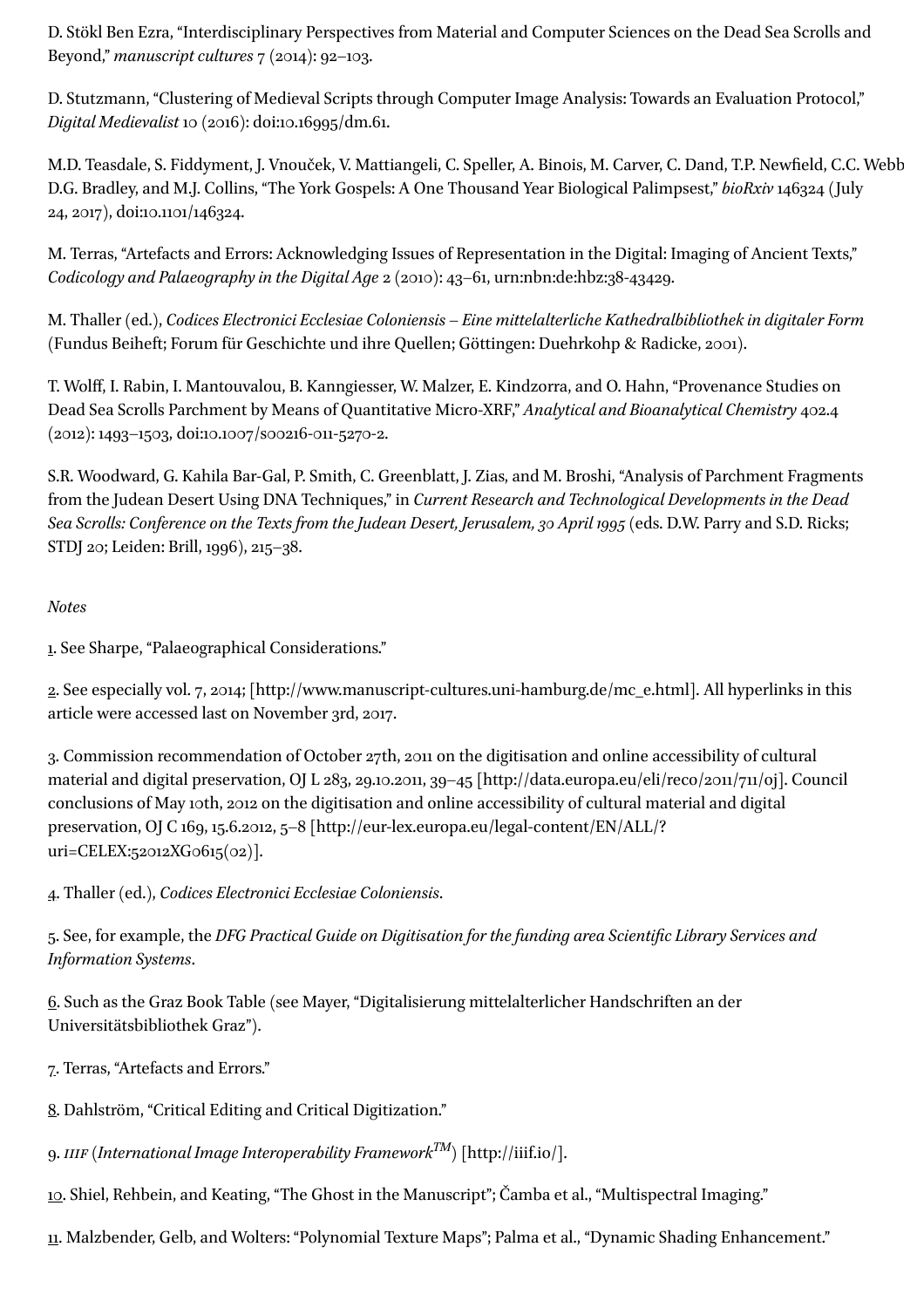D. Stökl Ben Ezra, "Interdisciplinary Perspectives from Material and Computer Sciences on the Dead Sea Scrolls and Beyond," *manuscript cultures* 7 (2014): 92–103.

D. Stutzmann, "Clustering of Medieval Scripts through Computer Image Analysis: Towards an Evaluation Protocol," *Digital Medievalist* 10 (2016): doi:10.16995/dm.61.

M.D. Teasdale, S. Fiddyment, J. Vnouček, V. Mattiangeli, C. Speller, A. Binois, M. Carver, C. Dand, T.P. Newfield, C.C. Webb D.G. Bradley, and M.J. Collins, "The York Gospels: A One Thousand Year Biological Palimpsest," *bioRxiv* 146324 (July 24, 2017), doi:10.1101/146324.

M. Terras, "Artefacts and Errors: Acknowledging Issues of Representation in the Digital: Imaging of Ancient Texts," *Codicology and Palaeography in the Digital Age* 2 (2010): 43–61, urn:nbn:de:hbz:38-43429.

M. Thaller (ed.), *Codices Electronici Ecclesiae Coloniensis* – *Eine mittelalterliche Kathedralbibliothek in digitaler Form* (Fundus Beiheft; Forum für Geschichte und ihre Quellen; Göttingen: Duehrkohp & Radicke, 2001).

T. Wolf, I. Rabin, I. Mantouvalou, B. Kanngiesser, W. Malzer, E. Kindzorra, and O. Hahn, "Provenance Studies on Dead Sea Scrolls Parchment by Means of Quantitative Micro-XRF," *Analytical and Bioanalytical Chemistry* 402.4 (2012): 1493–1503, doi:10.1007/s00216-011-5270-2.

S.R. Woodward, G. Kahila Bar-Gal, P. Smith, C. Greenblatt, J. Zias, and M. Broshi, "Analysis of Parchment Fragments from the Judean Desert Using DNA Techniques," in *Current Research and Technological Developments in the Dead Sea Scrolls: Conference on the Texts from the Judean Desert, Jerusalem,30 April 1995* (eds. D.W. Parry and S.D. Ricks; STDJ 20; Leiden: Brill, 1996), 215–38.

#### *Notes*

<span id="page-6-0"></span>[1](#page-0-1). See Sharpe, "Palaeographical Considerations."

<span id="page-6-1"></span>[2.](#page-0-2) See especially vol. 7, 2014; [http://www.manuscript-cultures.uni-hamburg.de/mc\_e.html]. All hyperlinks in this article were accessed last on November 3rd, 2017.

<span id="page-6-2"></span>[3.](#page-1-2) Commission recommendation of October 27th, 2011 on the digitisation and online accessibility of cultural material and digital preservation, OJ L 283, 29.10.2011, 39–45 [http://data.europa.eu/eli/reco/2011/711/oj]. Council conclusions of May 10th, 2012 on the digitisation and online accessibility of cultural material and digital preservation, OJ C 169, 15.6.2012, 5–8 [http://eur-lex.europa.eu/legal-content/EN/ALL/? uri=CELEX:52012XG0615(02)].

<span id="page-6-3"></span>[4](#page-1-3). Thaller (ed.), *Codices Electronici Ecclesiae Coloniensis*.

<span id="page-6-4"></span>[5.](#page-1-4) See, for example, the *DFG Practical Guide on Digitisation for thefunding area Scientic Library Services and Information Systems*.

<span id="page-6-5"></span>[6.](#page-1-5) Such as the Graz Book Table (see Mayer, "Digitalisierung mittelalterlicher Handschriften an der Universitätsbibliothek Graz").

<span id="page-6-6"></span>[7.](#page-1-6) Terras, "Artefacts and Errors."

<span id="page-6-7"></span>[8](#page-1-7). Dahlström, "Critical Editing and Critical Digitization."

<span id="page-6-8"></span>[9](#page-1-8). *IIIF (International Image Interoperability Framework* $^{TM}$ *) [http://iiif.io/].* 

<span id="page-6-9"></span>[10](#page-1-9). Shiel, Rehbein, and Keating, "The Ghost in the Manuscript"; Čamba et al., "Multispectral Imaging."

<span id="page-6-10"></span>[11.](#page-1-10) Malzbender, Gelb, and Wolters: "Polynomial Texture Maps"; Palma et al., "Dynamic Shading Enhancement."